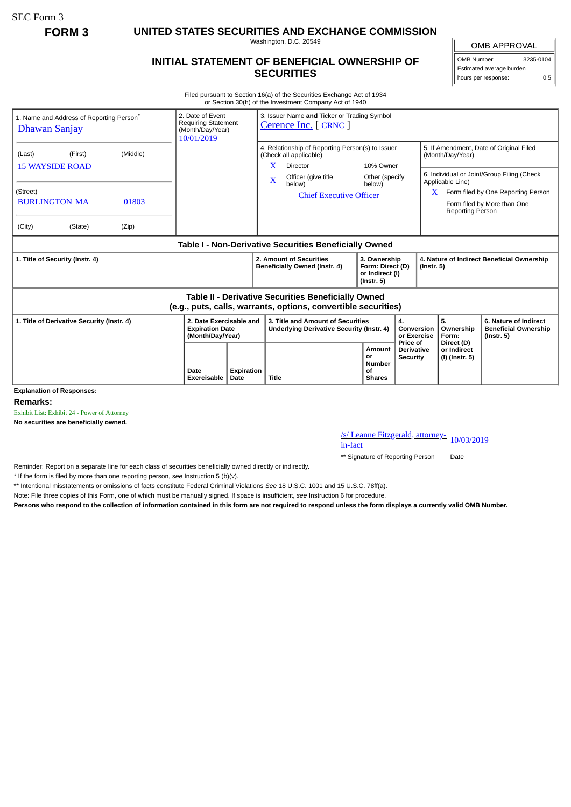SEC Form 3

**FORM 3 UNITED STATES SECURITIES AND EXCHANGE COMMISSION**

Washington, D.C. 20549

## **INITIAL STATEMENT OF BENEFICIAL OWNERSHIP OF SECURITIES**

OMB APPROVAL OMB Number: 3235-0104

Estimated average burden hours per response: 0.5

Filed pursuant to Section 16(a) of the Securities Exchange Act of 1934 or Section 30(h) of the Investment Company Act of 1940

| 1. Name and Address of Reporting Person <sup>®</sup><br><u>Dhawan Sanjay</u>                                                       | 2. Date of Event<br><b>Requiring Statement</b><br>(Month/Day/Year)<br>10/01/2019 |            | 3. Issuer Name and Ticker or Trading Symbol<br>Cerence Inc. [ CRNC ]                                                                                                       |                                                                         |                                                  |                                                                |                                                                         |                                                                                                                                                            |  |
|------------------------------------------------------------------------------------------------------------------------------------|----------------------------------------------------------------------------------|------------|----------------------------------------------------------------------------------------------------------------------------------------------------------------------------|-------------------------------------------------------------------------|--------------------------------------------------|----------------------------------------------------------------|-------------------------------------------------------------------------|------------------------------------------------------------------------------------------------------------------------------------------------------------|--|
| (Middle)<br>(First)<br>(Last)<br><b>15 WAYSIDE ROAD</b><br>(Street)<br><b>BURLINGTON MA</b><br>01803<br>(City)<br>(State)<br>(Zip) |                                                                                  |            | 4. Relationship of Reporting Person(s) to Issuer<br>(Check all applicable)<br>X<br>Director<br>Officer (give title<br>$\bf{X}$<br>below)<br><b>Chief Executive Officer</b> | 10% Owner<br>Other (specify<br>below)                                   |                                                  |                                                                | (Month/Day/Year)<br>Applicable Line)<br><b>Reporting Person</b>         | 5. If Amendment, Date of Original Filed<br>6. Individual or Joint/Group Filing (Check<br>Form filed by One Reporting Person<br>Form filed by More than One |  |
| Table I - Non-Derivative Securities Beneficially Owned                                                                             |                                                                                  |            |                                                                                                                                                                            |                                                                         |                                                  |                                                                |                                                                         |                                                                                                                                                            |  |
| 1. Title of Security (Instr. 4)                                                                                                    |                                                                                  |            | 2. Amount of Securities<br>Beneficially Owned (Instr. 4)                                                                                                                   | 3. Ownership<br>Form: Direct (D)<br>or Indirect (I)<br>$($ lnstr. 5 $)$ |                                                  | 4. Nature of Indirect Beneficial Ownership<br>$($ Instr. 5 $)$ |                                                                         |                                                                                                                                                            |  |
| Table II - Derivative Securities Beneficially Owned<br>(e.g., puts, calls, warrants, options, convertible securities)              |                                                                                  |            |                                                                                                                                                                            |                                                                         |                                                  |                                                                |                                                                         |                                                                                                                                                            |  |
| 1. Title of Derivative Security (Instr. 4)                                                                                         | 2. Date Exercisable and<br><b>Expiration Date</b><br>(Month/Day/Year)            |            | 3. Title and Amount of Securities<br>Underlying Derivative Security (Instr. 4)                                                                                             | 4.                                                                      |                                                  | Conversion<br>or Exercise                                      | 5.<br>Ownership<br>Form:<br>Direct (D)<br>or Indirect<br>(I) (Instr. 5) | 6. Nature of Indirect<br><b>Beneficial Ownership</b><br>$($ Instr. 5 $)$                                                                                   |  |
| <b>Explanation of Responses:</b>                                                                                                   | Date<br>Exercisable<br>Date                                                      | Expiration | <b>Title</b>                                                                                                                                                               | Amount<br>or<br><b>Number</b><br>οf<br><b>Shares</b>                    | Price of<br><b>Derivative</b><br><b>Security</b> |                                                                |                                                                         |                                                                                                                                                            |  |

**Remarks:**

Exhibit List: Exhibit 24 - Power of Attorney

**No securities are beneficially owned.**

/s/ Leanne Fitzgerald, attorney-<br>in-fact

\*\* Signature of Reporting Person Date

Reminder: Report on a separate line for each class of securities beneficially owned directly or indirectly.

\* If the form is filed by more than one reporting person, *see* Instruction 5 (b)(v).

\*\* Intentional misstatements or omissions of facts constitute Federal Criminal Violations *See* 18 U.S.C. 1001 and 15 U.S.C. 78ff(a).

Note: File three copies of this Form, one of which must be manually signed. If space is insufficient, *see* Instruction 6 for procedure.

**Persons who respond to the collection of information contained in this form are not required to respond unless the form displays a currently valid OMB Number.**